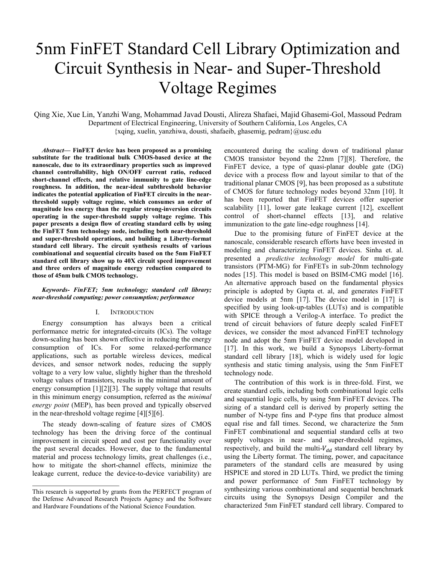# 5nm FinFET Standard Cell Library Optimization and Circuit Synthesis in Near- and Super-Threshold Voltage Regimes

Qing Xie, Xue Lin, Yanzhi Wang, Mohammad Javad Dousti, Alireza Shafaei, Majid Ghasemi-Gol, Massoud Pedram Department of Electrical Engineering, University of Southern California, Los Angeles, CA  ${xqing, xuelin, yanzhiwa, dousti, shafaeib, ghasemig, pedram}$  $@usc.edu$ 

*Abstract—* **FinFET device has been proposed as a promising substitute for the traditional bulk CMOS-based device at the nanoscale, due to its extraordinary properties such as improved channel controllability, high ON/OFF current ratio, reduced short-channel effects, and relative immunity to gate line-edge roughness. In addition, the near-ideal subthreshold behavior indicates the potential application of FinFET circuits in the nearthreshold supply voltage regime, which consumes an order of magnitude less energy than the regular strong-inversion circuits operating in the super-threshold supply voltage regime. This paper presents a design flow of creating standard cells by using the FinFET 5nm technology node, including both near-threshold and super-threshold operations, and building a Liberty-format standard cell library. The circuit synthesis results of various combinational and sequential circuits based on the 5nm FinFET standard cell library show up to 40X circuit speed improvement and three orders of magnitude energy reduction compared to those of 45nm bulk CMOS technology.**

## *Keywords- FinFET; 5nm technology; standard cell library; near-threshold computing; power consumption; performance*

## I. INTRODUCTION

Energy consumption has always been a critical performance metric for integrated-circuits (ICs). The voltage down-scaling has been shown effective in reducing the energy consumption of ICs. For some relaxed-performance applications, such as portable wireless devices, medical devices, and sensor network nodes, reducing the supply voltage to a very low value, slightly higher than the threshold voltage values of transistors, results in the minimal amount of energy consumption [\[1\]\[2\]](#page-5-0)[\[3\].](#page-5-1) The supply voltage that results in this minimum energy consumption, referred as the *minimal energy point* (MEP), has been proved and typically observed in the near-threshold voltage regime [\[4\]\[5\]](#page-5-2)[\[6\].](#page-5-3)

The steady down-scaling of feature sizes of CMOS technology has been the driving force of the continual improvement in circuit speed and cost per functionality over the past several decades. However, due to the fundamental material and process technology limits, great challenges (i.e., how to mitigate the short-channel effects, minimize the leakage current, reduce the device-to-device variability) are

encountered during the scaling down of traditional planar CMOS transistor beyond the 22nm [\[7\]\[8\].](#page-5-4) Therefore, the FinFET device, a type of quasi-planar double gate (DG) device with a process flow and layout similar to that of the traditional planar CMOS [\[9\],](#page-5-5) has been proposed as a substitute of CMOS for future technology nodes beyond 32nm [\[10\].](#page-5-6) It has been reported that FinFET devices offer superior scalability [\[11\],](#page-5-7) lower gate leakage current [\[12\],](#page-5-8) excellent control of short-channel effects [\[13\],](#page-5-9) and relative immunization to the gate line-edge roughness [\[14\].](#page-5-10)

Due to the promising future of FinFET device at the nanoscale, considerable research efforts have been invested in modeling and characterizing FinFET devices. Sinha et. al. presented a *predictive technology model* for multi-gate transistors (PTM-MG) for FinFETs in sub-20nm technology nodes [\[15\].](#page-5-11) This model is based on BSIM-CMG model [\[16\].](#page-5-12) An alternative approach based on the fundamental physics principle is adopted by Gupta et. al, and generates FinFET device models at 5nm [\[17\].](#page-5-13) The device model in [\[17\]](#page-5-13) is specified by using look-up-tables (LUTs) and is compatible with SPICE through a Verilog-A interface. To predict the trend of circuit behaviors of future deeply scaled FinFET devices, we consider the most advanced FinFET technology node and adopt the 5nm FinFET device model developed in [\[17\].](#page-5-13) In this work, we build a Synopsys Liberty-format standard cell library [\[18\],](#page-5-14) which is widely used for logic synthesis and static timing analysis, using the 5nm FinFET technology node.

The contribution of this work is in three-fold. First, we create standard cells, including both combinational logic cells and sequential logic cells, by using 5nm FinFET devices. The sizing of a standard cell is derived by properly setting the number of N-type fins and P-type fins that produce almost equal rise and fall times. Second, we characterize the 5nm FinFET combinational and sequential standard cells at two supply voltages in near- and super-threshold regimes, respectively, and build the multi- $V_{dd}$  standard cell library by using the Liberty format. The timing, power, and capacitance parameters of the standard cells are measured by using HSPICE and stored in 2D LUTs. Third, we predict the timing and power performance of 5nm FinFET technology by synthesizing various combinational and sequential benchmark circuits using the Synopsys Design Compiler and the characterized 5nm FinFET standard cell library. Compared to

This research is supported by grants from the PERFECT program of the Defense Advanced Research Projects Agency and the Software and Hardware Foundations of the National Science Foundation.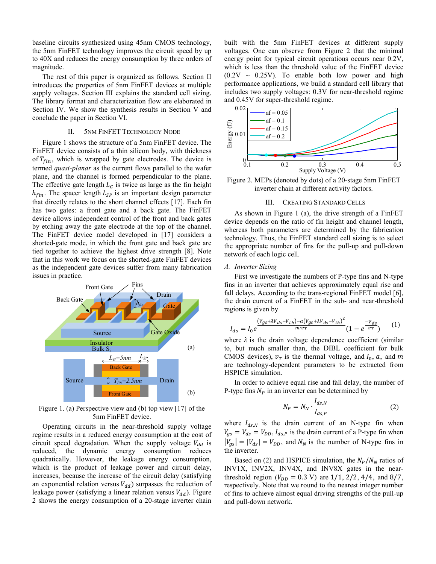baseline circuits synthesized using 45nm CMOS technology, the 5nm FinFET technology improves the circuit speed by up to 40X and reduces the energy consumption by three orders of magnitude.

The rest of this paper is organized as follows. Section [II](#page-1-0) introduces the properties of 5nm FinFET devices at multiple supply voltages. Section [III](#page-1-1) explains the standard cell sizing. The library format and characterization flow are elaborated in Section [IV.](#page-2-0) We show the synthesis results in Section [V](#page-3-0) and conclude the paper in Section [VI.](#page-5-15)

## II. 5NM FINFET TECHNOLOGY NODE

<span id="page-1-0"></span>[Figure 1](#page-1-2) shows the structure of a 5nm FinFET device. The FinFET device consists of a thin silicon body, with thickness of  $T_{fin}$ , which is wrapped by gate electrodes. The device is termed *quasi-planar* as the current flows parallel to the wafer plane, and the channel is formed perpendicular to the plane. The effective gate length  $L_G$  is twice as large as the fin height  $h_{fin}$ . The spacer length  $L_{SP}$  is an important design parameter that directly relates to the short channel effects [\[17\].](#page-5-13) Each fin has two gates: a front gate and a back gate. The FinFET device allows independent control of the front and back gates by etching away the gate electrode at the top of the channel. The FinFET device model developed in [\[17\]](#page-5-13) considers a shorted-gate mode, in which the front gate and back gate are tied together to achieve the highest drive strength [\[8\].](#page-5-16) Note that in this work we focus on the shorted-gate FinFET devices as the independent gate devices suffer from many fabrication issues in practice.



<span id="page-1-2"></span>Figure 1. (a) Perspective view and (b) top vie[w \[17\]](#page-5-13) of the 5nm FinFET device.

Operating circuits in the near-threshold supply voltage regime results in a reduced energy consumption at the cost of circuit speed degradation. When the supply voltage  $V_{dd}$  is reduced, the dynamic energy consumption reduces quadratically. However, the leakage energy consumption, which is the product of leakage power and circuit delay, increases, because the increase of the circuit delay (satisfying an exponential relation versus  $V_{dd}$ ) surpasses the reduction of leakage power (satisfying a linear relation versus  $V_{dd}$ ). Figure [2](#page-1-3) shows the energy consumption of a 20-stage inverter chain built with the 5nm FinFET devices at different supply voltages. One can observe from [Figure 2](#page-1-3) that the minimal energy point for typical circuit operations occurs near 0.2V, which is less than the threshold value of the FinFET device  $(0.2V \sim 0.25V)$ . To enable both low power and high performance applications, we build a standard cell library that includes two supply voltages: 0.3V for near-threshold regime and 0.45V for super-threshold regime.



<span id="page-1-3"></span><span id="page-1-1"></span>Figure 2. MEPs (denoted by dots) of a 20-stage 5nm FinFET inverter chain at different activity factors.

## III. CREATING STANDARD CELLS

As shown in [Figure 1](#page-1-2) (a), the drive strength of a FinFET device depends on the ratio of fin height and channel length, whereas both parameters are determined by the fabrication technology. Thus, the FinFET standard cell sizing is to select the appropriate number of fins for the pull-up and pull-down network of each logic cell.

## *A. Inverter Sizing*

First we investigate the numbers of P-type fins and N-type fins in an inverter that achieves approximately equal rise and fall delays. According to the trans-regional FinFET model [\[6\],](#page-5-3) the drain current of a FinFET in the sub- and near-threshold regions is given by

$$
I_{ds} = I_0 e^{\frac{\left(V_{gs} + \lambda V_{ds} - V_{th}\right) - a\left(V_{gs} + \lambda V_{ds} - V_{th}\right)^2}{m \cdot v_T}} (1 - e^{\frac{-V_{ds}}{v_T}})
$$
 (1)

where  $\lambda$  is the drain voltage dependence coefficient (similar to, but much smaller than, the DIBL coefficient for bulk CMOS devices),  $v_T$  is the thermal voltage, and  $I_0$ , a, and m are technology-dependent parameters to be extracted from HSPICE simulation.

In order to achieve equal rise and fall delay, the number of P-type fins  $N_p$  in an inverter can be determined by

<span id="page-1-5"></span><span id="page-1-4"></span>
$$
N_P = N_N \cdot \frac{I_{ds,N}}{I_{ds,P}}
$$
 (2)

where  $I_{ds,N}$  is the drain current of an N-type fin when  $V_{gs} = V_{ds} = V_{DD}, I_{ds,P}$  is the drain current of a P-type fin when  $|V_{gs}| = |V_{ds}| = V_{DD}$ , and  $N_N$  is the number of N-type fins in the inverter.

Based on [\(2\)](#page-1-4) and HSPICE simulation, the  $N_P/N_N$  ratios of INV1X, INV2X, INV4X, and INV8X gates in the nearthreshold region ( $V_{DD} = 0.3$  V) are 1/1, 2/2, 4/4, and 8/7, respectively. Note that we round to the nearest integer number of fins to achieve almost equal driving strengths of the pull-up and pull-down network.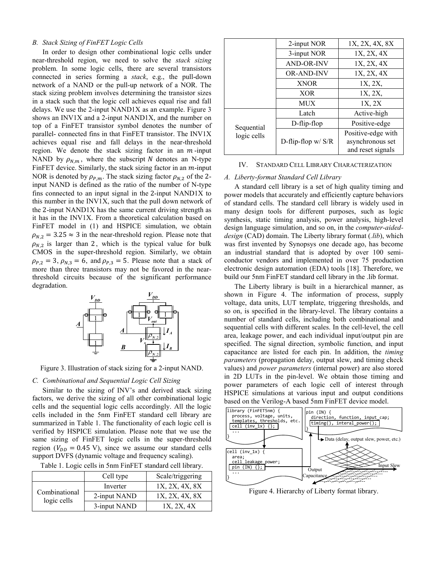## *B. Stack Sizing of FinFET Logic Cells*

In order to design other combinational logic cells under near-threshold region, we need to solve the *stack sizing* problem. In some logic cells, there are several transistors connected in series forming a *stack*, e.g., the pull-down network of a NAND or the pull-up network of a NOR. The stack sizing problem involves determining the transistor sizes in a stack such that the logic cell achieves equal rise and fall delays. We use the 2-input NAND1X as an example. [Figure 3](#page-2-1) shows an INV1X and a 2-input NAND1X, and the number on top of a FinFET transistor symbol denotes the number of parallel- connected fins in that FinFET transistor. The INV1X achieves equal rise and fall delays in the near-threshold region. We denote the stack sizing factor in an  $m$ -input NAND by  $\rho_{N,m}$ , where the subscript N denotes an N-type FinFET device. Similarly, the stack sizing factor in an  $m$ -input NOR is denoted by  $\rho_{P,m}$ . The stack sizing factor  $\rho_{N,2}$  of the 2input NAND is defined as the ratio of the number of N-type fins connected to an input signal in the 2-input NAND1X to this number in the INV1X, such that the pull down network of the 2-input NAND1X has the same current driving strength as it has in the INV1X. From a theoretical calculation based on FinFET model in [\(1\)](#page-1-5) and HSPICE simulation, we obtain  $\rho_{N,2} = 3.25 \approx 3$  in the near-threshold region. Please note that  $\rho_{N2}$  is larger than 2, which is the typical value for bulk CMOS in the super-threshold region. Similarly, we obtain  $\rho_{P,2} = 3$ ,  $\rho_{N,3} = 6$ , and  $\rho_{P,3} = 5$ . Please note that a stack of more than three transistors may not be favored in the nearthreshold circuits because of the significant performance degradation.



<span id="page-2-1"></span>Figure 3. Illustration of stack sizing for a 2-input NAND.

#### *C. Combinational and Sequential Logic Cell Sizing*

Similar to the sizing of INV's and derived stack sizing factors, we derive the sizing of all other combinational logic cells and the sequential logic cells accordingly. All the logic cells included in the 5nm FinFET standard cell library are summarized in Table 1. The functionality of each logic cell is verified by HSPICE simulation. Please note that we use the same sizing of FinFET logic cells in the super-threshold region ( $V_{DD} = 0.45$  V), since we assume our standard cells support DVFS (dynamic voltage and frequency scaling).

|  |  |  |  |  |  |  |  | Table 1. Logic cells in 5nm FinFET standard cell library. |  |  |
|--|--|--|--|--|--|--|--|-----------------------------------------------------------|--|--|
|--|--|--|--|--|--|--|--|-----------------------------------------------------------|--|--|

|                              | Cell type    | Scale/triggering |
|------------------------------|--------------|------------------|
|                              | Inverter     | 1X, 2X, 4X, 8X   |
| Combinational<br>logic cells | 2-input NAND | 1X, 2X, 4X, 8X   |
|                              | 3-input NAND | 1X, 2X, 4X       |

|             | 2-input NOR         | 1X, 2X, 4X, 8X     |  |  |
|-------------|---------------------|--------------------|--|--|
|             | 3-input NOR         | 1X, 2X, 4X         |  |  |
|             | <b>AND-OR-INV</b>   | 1X, 2X, 4X         |  |  |
|             | <b>OR-AND-INV</b>   | 1X, 2X, 4X         |  |  |
|             | <b>XNOR</b>         | 1X, 2X,            |  |  |
|             | <b>XOR</b>          | 1X, 2X,            |  |  |
|             | MUX                 | 1X, 2X             |  |  |
|             | Latch               | Active-high        |  |  |
| Sequential  | D-flip-flop         | Positive-edge      |  |  |
| logic cells |                     | Positive-edge with |  |  |
|             | D-flip-flop $w/S/R$ | asynchronous set   |  |  |
|             |                     | and reset signals  |  |  |

#### <span id="page-2-0"></span>IV. STANDARD CELL LIBRARY CHARACTERIZATION

## *A. Liberty-format Standard Cell Library*

A standard cell library is a set of high quality timing and power models that accurately and efficiently capture behaviors of standard cells. The standard cell library is widely used in many design tools for different purposes, such as logic synthesis, static timing analysis, power analysis, high-level design language simulation, and so on, in the *computer-aideddesign* (CAD) domain. The Liberty library format (*.lib*), which was first invented by Synopsys one decade ago, has become an industrial standard that is adopted by over 100 semiconductor vendors and implemented in over 75 production electronic design automation (EDA) tools [\[18\].](#page-5-14) Therefore, we build our 5nm FinFET standard cell library in the .lib format.

The Liberty library is built in a hierarchical manner, as shown in [Figure 4.](#page-2-2) The information of process, supply voltage, data units, LUT template, triggering thresholds, and so on, is specified in the library-level. The library contains a number of standard cells, including both combinational and sequential cells with different scales. In the cell-level, the cell area, leakage power, and each individual input/output pin are specified. The signal direction, symbolic function, and input capacitance are listed for each pin. In addition, the *timing parameters* (propagation delay, output slew, and timing check values) and *power parameters* (internal power) are also stored in 2D LUTs in the pin-level. We obtain those timing and power parameters of each logic cell of interest through HSPICE simulations at various input and output conditions based on the Verilog-A based 5nm FinFET device model.



<span id="page-2-2"></span>Figure 4. Hierarchy of Liberty format library.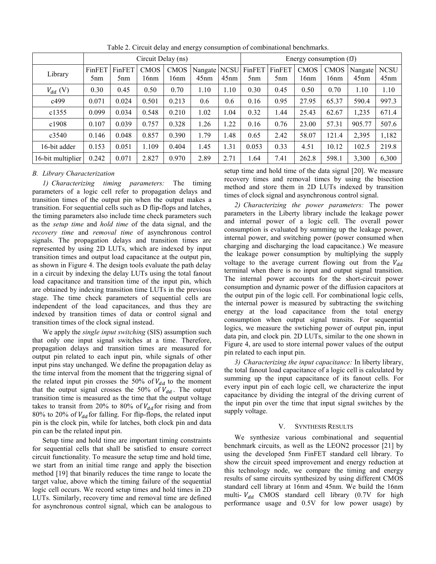<span id="page-3-1"></span>

|                   | Circuit Delay (ns)        |                           |                     |                     |                        | Energy consumption (fJ) |                           |                           |                     |                     |                              |                     |
|-------------------|---------------------------|---------------------------|---------------------|---------------------|------------------------|-------------------------|---------------------------|---------------------------|---------------------|---------------------|------------------------------|---------------------|
| Library           | FinFET<br>5 <sub>nm</sub> | FinFET<br>5 <sub>nm</sub> | <b>CMOS</b><br>16nm | <b>CMOS</b><br>16nm | Nangate   NCSU<br>45nm | 45nm                    | FinFET<br>5 <sub>nm</sub> | FinFET<br>5 <sub>nm</sub> | <b>CMOS</b><br>16nm | <b>CMOS</b><br>16nm | Nangate <sup>1</sup><br>45nm | <b>NCSU</b><br>45nm |
| $V_{dd}$ (V)      | 0.30                      | 0.45                      | 0.50                | 0.70                | 1.10                   | 1.10                    | 0.30                      | 0.45                      | 0.50                | 0.70                | 1.10                         | 1.10                |
| c499              | 0.071                     | 0.024                     | 0.501               | 0.213               | 0.6                    | 0.6                     | 0.16                      | 0.95                      | 27.95               | 65.37               | 590.4                        | 997.3               |
| c1355             | 0.099                     | 0.034                     | 0.548               | 0.210               | 1.02                   | 1.04                    | 0.32                      | 1.44                      | 25.43               | 62.67               | 1,235                        | 671.4               |
| c1908             | 0.107                     | 0.039                     | 0.757               | 0.328               | 1.26                   | 1.22                    | 0.16                      | 0.76                      | 23.00               | 57.31               | 905.77                       | 507.6               |
| c3540             | 0.146                     | 0.048                     | 0.857               | 0.390               | 1.79                   | 1.48                    | 0.65                      | 2.42                      | 58.07               | 121.4               | 2,395                        | 1,182               |
| 16-bit adder      | 0.153                     | 0.051                     | 1.109               | 0.404               | 1.45                   | 1.31                    | 0.053                     | 0.33                      | 4.51                | 10.12               | 102.5                        | 219.8               |
| 16-bit multiplier | 0.242                     | 0.071                     | 2.827               | 0.970               | 2.89                   | 2.71                    | 1.64                      | 7.41                      | 262.8               | 598.1               | 3,300                        | 6,300               |

Table 2. Circuit delay and energy consumption of combinational benchmarks.

# *B. Library Characterization*

*1) Characterizing timing parameters:* The timing parameters of a logic cell refer to propagation delays and transition times of the output pin when the output makes a transition. For sequential cells such as D flip-flops and latches, the timing parameters also include time check parameters such as the *setup time* and *hold time* of the data signal, and the *recovery time* and *removal time* of asynchronous control signals. The propagation delays and transition times are represented by using 2D LUTs, which are indexed by input transition times and output load capacitance at the output pin, as shown in [Figure 4.](#page-2-2) The design tools evaluate the path delay in a circuit by indexing the delay LUTs using the total fanout load capacitance and transition time of the input pin, which are obtained by indexing transition time LUTs in the previous stage. The time check parameters of sequential cells are independent of the load capacitances, and thus they are indexed by transition times of data or control signal and transition times of the clock signal instead.

We apply the *single input switching* (SIS) assumption such that only one input signal switches at a time. Therefore, propagation delays and transition times are measured for output pin related to each input pin, while signals of other input pins stay unchanged. We define the propagation delay as the time interval from the moment that the triggering signal of the related input pin crosses the 50% of  $V_{dd}$  to the moment that the output signal crosses the 50% of  $V_{dd}$ . The output transition time is measured as the time that the output voltage takes to transit from 20% to 80% of  $V_{dd}$  for rising and from 80% to 20% of  $V_{dd}$  for falling. For flip-flops, the related input pin is the clock pin, while for latches, both clock pin and data pin can be the related input pin.

Setup time and hold time are important timing constraints for sequential cells that shall be satisfied to ensure correct circuit functionality. To measure the setup time and hold time, we start from an initial time range and apply the bisection method [\[19\]](#page-5-17) that binarily reduces the time range to locate the target value, above which the timing failure of the sequential logic cell occurs. We record setup times and hold times in 2D LUTs. Similarly, recovery time and removal time are defined for asynchronous control signal, which can be analogous to setup time and hold time of the data signal [\[20\].](#page-5-18) We measure recovery times and removal times by using the bisection method and store them in 2D LUTs indexed by transition times of clock signal and asynchronous control signal.

*2) Characterizing the power parameters:* The power parameters in the Liberty library include the leakage power and internal power of a logic cell. The overall power consumption is evaluated by summing up the leakage power, internal power, and switching power (power consumed when charging and discharging the load capacitance.) We measure the leakage power consumption by multiplying the supply voltage to the average current flowing out from the  $V_{dd}$ terminal when there is no input and output signal transition. The internal power accounts for the short-circuit power consumption and dynamic power of the diffusion capacitors at the output pin of the logic cell. For combinational logic cells, the internal power is measured by subtracting the switching energy at the load capacitance from the total energy consumption when output signal transits. For sequential logics, we measure the swtiching power of output pin, input data pin, and clock pin. 2D LUTs, similar to the one shown in [Figure 4,](#page-2-2) are used to store internal power values of the output pin related to each input pin.

*3) Characterizing the input capacitance:* In liberty library, the total fanout load capacitance of a logic cell is calculated by summing up the input capacitance of its fanout cells. For every input pin of each logic cell, we characterize the input capacitance by dividing the integral of the driving current of the input pin over the time that input signal switches by the supply voltage.

## V. SYNTHESIS RESULTS

<span id="page-3-0"></span>We synthesize various combinational and sequential benchmark circuits, as well as the LEON2 processor [\[21\]](#page-5-19) by using the developed 5nm FinFET standard cell library. To show the circuit speed improvement and energy reduction at this technology node, we compare the timing and energy results of same circuits synthesized by using different CMOS standard cell library at 16nm and 45nm. We build the 16nm multi-  $V_{dd}$  CMOS standard cell library (0.7V for high performance usage and 0.5V for low power usage) by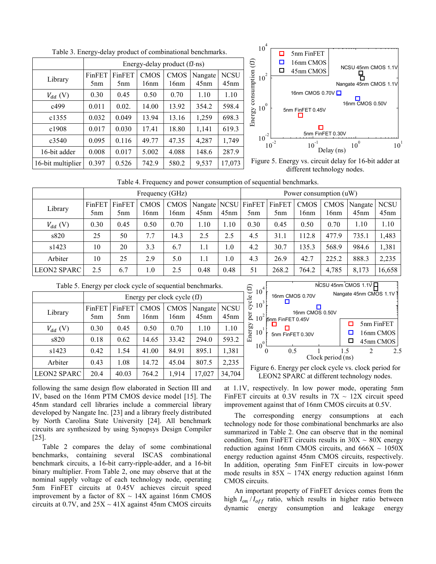<span id="page-4-0"></span>

|                   |                           |                           |                     | Energy-delay product (fJ·ns) |                             |                     |
|-------------------|---------------------------|---------------------------|---------------------|------------------------------|-----------------------------|---------------------|
| Library           | FinFET<br>5 <sub>nm</sub> | FinFET<br>5 <sub>nm</sub> | <b>CMOS</b><br>16nm | <b>CMOS</b><br>16nm          | Nangate<br>45 <sub>nm</sub> | <b>NCSU</b><br>45nm |
| $V_{dd}$ (V)      | 0.30                      | 0.45                      | 0.50                | 0.70                         | 1.10                        | 1.10                |
| c499              | 0.011                     | 0.02.                     | 14.00               | 13.92                        | 354.2                       | 598.4               |
| c1355             | 0.032                     | 0.049                     | 13.94               | 13.16                        | 1,259                       | 698.3               |
| c1908             | 0.017                     | 0.030                     | 17.41               | 18.80                        | 1,141                       | 619.3               |
| c3540             | 0.095                     | 0.116                     | 49.77               | 47.35                        | 4,287                       | 1,749               |
| 16-bit adder      | 0.008                     | 0.017                     | 5.002               | 4.088                        | 148.6                       | 287.9               |
| 16-bit multiplier | 0.397                     | 0.526                     | 742.9               | 580.2                        | 9,537                       | 17,073              |

Table 3. Energy-delay product of combinational benchmarks.



<span id="page-4-3"></span>Figure 5. Energy vs. circuit delay for 16-bit adder at different technology nodes.

Table 4. Frequency and power consumption of sequential benchmarks.

<span id="page-4-1"></span>

|                    | Frequency (GHz)           |                           |                     |                     |      |      | Power consumption (uW)                       |                           |                     |                           |                 |                        |
|--------------------|---------------------------|---------------------------|---------------------|---------------------|------|------|----------------------------------------------|---------------------------|---------------------|---------------------------|-----------------|------------------------|
| Library            | FinFET<br>5 <sub>nm</sub> | FinFET<br>5 <sub>nm</sub> | <b>CMOS</b><br>16nm | <b>CMOS</b><br>16nm | 45nm | 45nm | Nangate   NCSU   FinFET  <br>5 <sub>nm</sub> | FinFET<br>5 <sub>nm</sub> | <b>CMOS</b><br>16nm | CMOS <sup>1</sup><br>16nm | Nangate<br>45nm | <b>NCSU</b><br>$45$ nm |
| $V_{dd}$ (V)       | 0.30                      | 0.45                      | 0.50                | 0.70                | 1.10 | 1.10 | 0.30                                         | 0.45                      | 0.50                | 0.70                      | 1.10            | 1.10                   |
| s820               | 25                        | 50                        | 7.7                 | 14.3                | 2.5  | 2.5  | 4.5                                          | 31.1                      | 112.8               | 477.9                     | 735.1           | 1,483                  |
| s1423              | 10                        | 20                        | 3.3                 | 6.7                 | 1.1  | 0.1  | 4.2                                          | 30.7                      | 135.3               | 568.9                     | 984.6           | 1,381                  |
| Arbiter            | 10                        | 25                        | 2.9                 | 5.0                 | 1.1  | 0.1  | 4.3                                          | 26.9                      | 42.7                | 225.2                     | 888.3           | 2,235                  |
| <b>LEON2 SPARC</b> | 2.5                       | 6.7                       | 1.0                 | 2.5                 | 0.48 | 0.48 | 51                                           | 268.2                     | 764.2               | 4,785                     | 8,173           | 16,658                 |

<span id="page-4-2"></span>

|                    |                           | Energy per clock cycle (fJ) |                     |                     |                             |                     |  |
|--------------------|---------------------------|-----------------------------|---------------------|---------------------|-----------------------------|---------------------|--|
| Library            | FinFET<br>5 <sub>nm</sub> | FinFET<br>5 <sub>nm</sub>   | <b>CMOS</b><br>16nm | <b>CMOS</b><br>16nm | Nangate<br>45 <sub>nm</sub> | <b>NCSU</b><br>45nm |  |
| $V_{dd}$ (V)       | 0.30                      | 0.45                        | 0.50                | 0.70                | 1.10                        | 1.10                |  |
| s820               | 0.18                      | 0.62                        | 14.65               | 33.42               | 294.0                       | 593.2               |  |
| s1423              | 0.42                      | 1.54                        | 41.00               | 84.91               | 895.1                       | 1,381               |  |
| Arbiter            | 0.43                      | 1.08                        | 14.72               | 45.04               | 807.5                       | 2,235               |  |
| <b>LEON2 SPARC</b> | 20.4                      | 40.03                       | 764.2               | 1,914               | 17,027                      | 34,704              |  |

|  | Table 5. Energy per clock cycle of sequential benchmarks. |
|--|-----------------------------------------------------------|
|--|-----------------------------------------------------------|



NCSU 45nm CMOS 1.1V

<span id="page-4-4"></span>LEON2 SPARC at different technology nodes.

following the same design flow elaborated in Section [III](#page-1-1) and [IV,](#page-2-0) based on the 16nm PTM CMOS device model [\[15\].](#page-5-11) The 45nm standard cell libraries include a commercial library developed by Nangate Inc. [\[23\]](#page-5-20) and a library freely distributed by North Carolina State University [\[24\].](#page-5-21) All benchmark circuits are synthesized by using Synopsys Design Compiler [\[25\].](#page-5-22)

[Table 2](#page-3-1) compares the delay of some combinational benchmarks, containing several ISCAS combinational benchmark circuits, a 16-bit carry-ripple-adder, and a 16-bit binary multiplier. From [Table 2,](#page-3-1) one may observe that at the nominal supply voltage of each technology node, operating 5nm FinFET circuits at 0.45V achieves circuit speed improvement by a factor of  $8X \sim 14X$  against 16nm CMOS circuits at 0.7V, and  $25X \sim 41X$  against 45nm CMOS circuits at 1.1V, respectively. In low power mode, operating 5nm FinFET circuits at 0.3V results in  $7X \sim 12X$  circuit speed improvement against that of 16nm CMOS circuits at 0.5V.

The corresponding energy consumptions at each technology node for those combinational benchmarks are also summarized in [Table 2.](#page-3-1) One can observe that in the nominal condition, 5nm FinFET circuits results in  $30X \sim 80X$  energy reduction against 16nm CMOS circuits, and  $666X \sim 1050X$ energy reduction against 45nm CMOS circuits, respectively. In addition, operating 5nm FinFET circuits in low-power mode results in  $85X \sim 174X$  energy reduction against 16nm CMOS circuits.

An important property of FinFET devices comes from the high  $I_{on} / I_{off}$  ratio, which results in higher ratio between dynamic energy consumption and leakage energy dynamic energy consumption